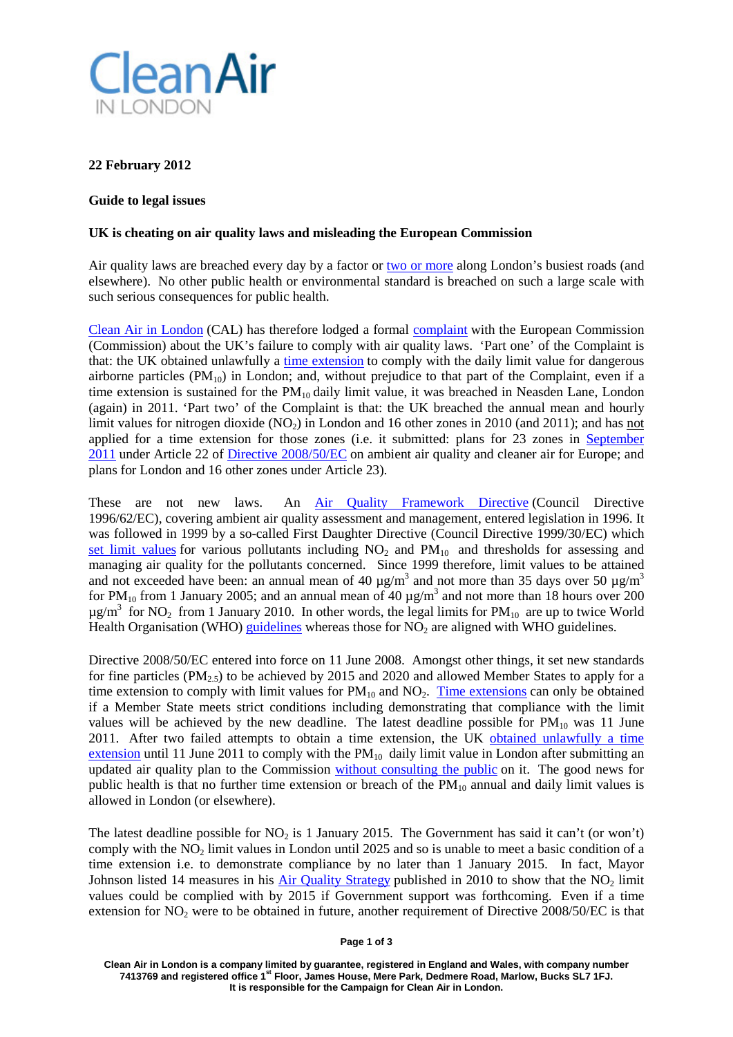

## **22 February 2012**

## **Guide to legal issues**

## **UK is cheating on air quality laws and misleading the European Commission**

Air quality laws are breached every day by a factor or [two or more](http://www.londonair.org.uk/london/asp/publicstats.asp?statyear=2011&MapType=Google®i%20on=0&site=MY1&postcode=&la_id=&objective=All) along London's busiest roads (and elsewhere). No other public health or environmental standard is breached on such a large scale with such serious consequences for public health.

[Clean Air in London](http://cleanairinlondon.org/) (CAL) has therefore lodged a formal [complaint](http://cleanairinlondon.org/legal/clean-air-in-london-lodges-complaint-over-breaches-of-air-pollution-laws-in-london/) with the European Commission (Commission) about the UK's failure to comply with air quality laws. 'Part one' of the Complaint is that: the UK obtained unlawfully a [time extension](http://ec.europa.eu/environment/air/quality/legislation/time_extensions.htm) to comply with the daily limit value for dangerous airborne particles  $(PM_{10})$  in London; and, without prejudice to that part of the Complaint, even if a time extension is sustained for the  $PM_{10}$  daily limit value, it was breached in Neasden Lane, London (again) in 2011. 'Part two' of the Complaint is that: the UK breached the annual mean and hourly limit values for nitrogen dioxide  $(NO<sub>2</sub>)$  in London and 16 other zones in 2010 (and 2011); and has not applied for a time extension for those zones (i.e. it submitted: plans for 23 zones in [September](http://circa.europa.eu/Public/irc/env/ambient/library?l=/extension_notifications/notifications_extensions/uk/notification_22092011/official_notification&vm=detailed&sb=Title)  [2011](http://circa.europa.eu/Public/irc/env/ambient/library?l=/extension_notifications/notifications_extensions/uk/notification_22092011/official_notification&vm=detailed&sb=Title) under Article 22 of [Directive 2008/50/EC](http://eur-lex.europa.eu/LexUriServ/LexUriServ.do?uri=OJ:L:2008:152:0001:0044:EN:PDF) on ambient air quality and cleaner air for Europe; and plans for London and 16 other zones under Article 23).

These are not new laws. An [Air Quality Framework Directive](http://ec.europa.eu/environment/air/quality/legislation/existing_leg.htm) (Council Directive 1996/62/EC), covering ambient air quality assessment and management, entered legislation in 1996. It was followed in 1999 by a so-called First Daughter Directive (Council Directive 1999/30/EC) which [set limit values](http://ec.europa.eu/environment/air/quality/standards.htm) for various pollutants including  $NO<sub>2</sub>$  and  $PM<sub>10</sub>$  and thresholds for assessing and managing air quality for the pollutants concerned. Since 1999 therefore, limit values to be attained and not exceeded have been: an annual mean of 40  $\mu$ g/m<sup>3</sup> and not more than 35 days over 50  $\mu$ g/m<sup>3</sup> for PM<sub>10</sub> from 1 January 2005; and an annual mean of 40  $\mu$ g/m<sup>3</sup> and not more than 18 hours over 200  $\mu$ g/m<sup>3</sup> for NO<sub>2</sub> from 1 January 2010. In other words, the legal limits for PM<sub>10</sub> are up to twice World Health Organisation (WHO) [guidelines](http://www.springerlink.com/content/943153q7637737t0/fulltext.pdf) whereas those for  $NO<sub>2</sub>$  are aligned with WHO guidelines.

Directive 2008/50/EC entered into force on 11 June 2008. Amongst other things, it set new standards for fine particles ( $PM_{2.5}$ ) to be achieved by 2015 and 2020 and allowed Member States to apply for a time extension to comply with limit values for  $PM_{10}$  and  $NO_2$ . [Time extensions](http://ec.europa.eu/environment/air/quality/legislation/time_extensions.htm) can only be obtained if a Member State meets strict conditions including demonstrating that compliance with the limit values will be achieved by the new deadline. The latest deadline possible for  $PM_{10}$  was 11 June 2011. After two failed attempts to obtain a time extension, the UK [obtained unlawfully a time](http://cleanairinlondon.org/legal/european-commission-grants-temporary-and-conditional-exemption-to-comply-with-pm10-daily-limit-value/)  [extension](http://cleanairinlondon.org/legal/european-commission-grants-temporary-and-conditional-exemption-to-comply-with-pm10-daily-limit-value/) until 11 June 2011 to comply with the  $PM_{10}$  daily limit value in London after submitting an updated air quality plan to the Commission [without consulting the public](http://cleanairinlondon.org/legal/defras-belated-consultation-on-short-term-plans-for-pm10/) on it. The good news for public health is that no further time extension or breach of the  $PM_{10}$  annual and daily limit values is allowed in London (or elsewhere).

The latest deadline possible for  $NO<sub>2</sub>$  is 1 January 2015. The Government has said it can't (or won't) comply with the NO<sub>2</sub> limit values in London until 2025 and so is unable to meet a basic condition of a time extension i.e. to demonstrate compliance by no later than 1 January 2015. In fact, Mayor Johnson listed 14 measures in his [Air Quality Strategy](http://www.london.gov.uk/publication/mayors-air-quality-strategy) published in 2010 to show that the  $NO<sub>2</sub>$  limit values could be complied with by 2015 if Government support was forthcoming. Even if a time extension for  $NO<sub>2</sub>$  were to be obtained in future, another requirement of Directive 2008/50/EC is that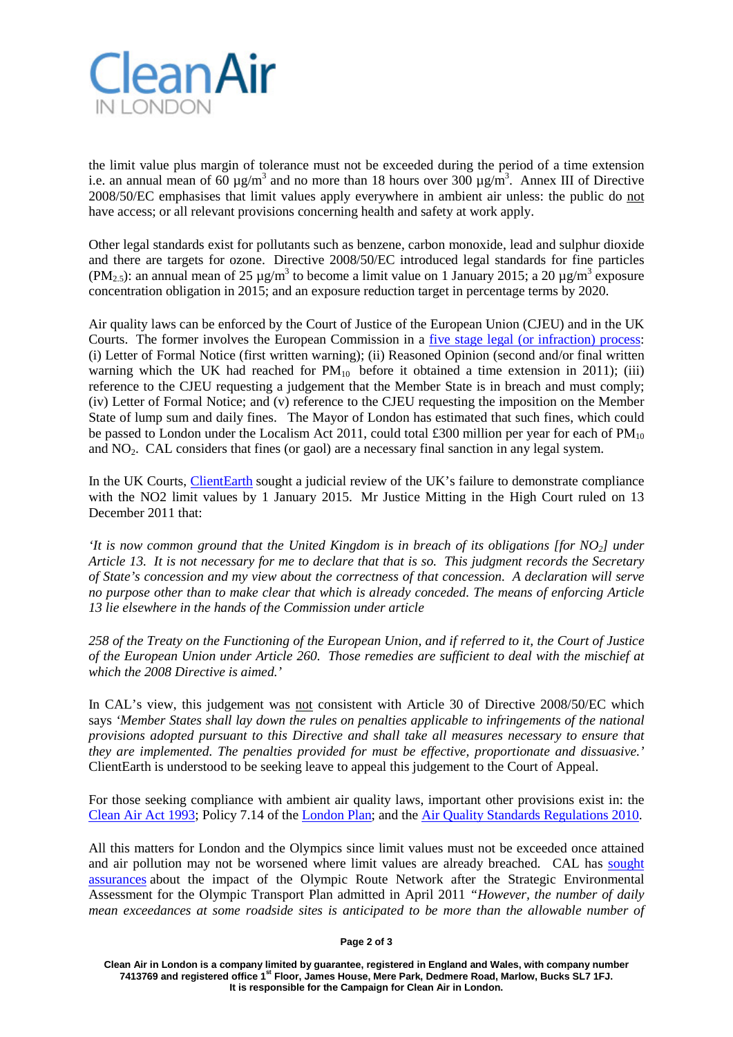

the limit value plus margin of tolerance must not be exceeded during the period of a time extension i.e. an annual mean of 60  $\mu$ g/m<sup>3</sup> and no more than 18 hours over 300  $\mu$ g/m<sup>3</sup>. Annex III of Directive 2008/50/EC emphasises that limit values apply everywhere in ambient air unless: the public do not have access; or all relevant provisions concerning health and safety at work apply.

Other legal standards exist for pollutants such as benzene, carbon monoxide, lead and sulphur dioxide and there are targets for ozone. Directive 2008/50/EC introduced legal standards for fine particles (PM<sub>2.5</sub>): an annual mean of 25 µg/m<sup>3</sup> to become a limit value on 1 January 2015; a 20 µg/m<sup>3</sup> exposure concentration obligation in 2015; and an exposure reduction target in percentage terms by 2020.

Air quality laws can be enforced by the Court of Justice of the European Union (CJEU) and in the UK Courts. The former involves the European Commission in a [five stage legal \(or infraction\) process:](http://ec.europa.eu/eu_law/infringements/infringements_en.htm) (i) Letter of Formal Notice (first written warning); (ii) Reasoned Opinion (second and/or final written warning which the UK had reached for  $PM_{10}$  before it obtained a time extension in 2011); (iii) reference to the CJEU requesting a judgement that the Member State is in breach and must comply; (iv) Letter of Formal Notice; and (v) reference to the CJEU requesting the imposition on the Member State of lump sum and daily fines. The Mayor of London has estimated that such fines, which could be passed to London under the Localism Act 2011, could total £300 million per year for each of  $PM_{10}$ and  $NO<sub>2</sub>$ . CAL considers that fines (or gaol) are a necessary final sanction in any legal system.

In the UK Courts, [ClientEarth](http://www.clientearth.org/) sought a judicial review of the UK's failure to demonstrate compliance with the NO2 limit values by 1 January 2015. Mr Justice Mitting in the High Court ruled on 13 December 2011 that:

*'It is now common ground that the United Kingdom is in breach of its obligations [for NO2] under Article 13. It is not necessary for me to declare that that is so. This judgment records the Secretary of State's concession and my view about the correctness of that concession. A declaration will serve no purpose other than to make clear that which is already conceded. The means of enforcing Article 13 lie elsewhere in the hands of the Commission under article*

*258 of the Treaty on the Functioning of the European Union, and if referred to it, the Court of Justice of the European Union under Article 260. Those remedies are sufficient to deal with the mischief at which the 2008 Directive is aimed.'*

In CAL's view, this judgement was not consistent with Article 30 of Directive 2008/50/EC which says *'Member States shall lay down the rules on penalties applicable to infringements of the national provisions adopted pursuant to this Directive and shall take all measures necessary to ensure that they are implemented. The penalties provided for must be effective, proportionate and dissuasive.'*  ClientEarth is understood to be seeking leave to appeal this judgement to the Court of Appeal.

For those seeking compliance with ambient air quality laws, important other provisions exist in: the [Clean Air Act 1993;](http://cleanairinlondon.org/indoor-air-quality/clean-air-act-must-be-updated-for-modern-fuels-and-technologies-and-be-enforced/) Policy 7.14 of the [London Plan;](http://www.london.gov.uk/publication/londonplan) and the [Air Quality Standards Regulations 2010.](http://www.legislation.gov.uk/uksi/2010/1001/contents/made)

All this matters for London and the Olympics since limit values must not be exceeded once attained and air pollution may not be worsened where limit values are already breached. CAL has [sought](http://cleanairinlondon.org/olympics/clean-air-in-london-calls-for-full-mitigation-for-the-orn-prn/)  [assurances](http://cleanairinlondon.org/olympics/clean-air-in-london-calls-for-full-mitigation-for-the-orn-prn/) about the impact of the Olympic Route Network after the Strategic Environmental Assessment for the Olympic Transport Plan admitted in April 2011 *"However, the number of daily mean exceedances at some roadside sites is anticipated to be more than the allowable number of* 

**Page 2 of 3**

**Clean Air in London is a company limited by guarantee, registered in England and Wales, with company number 7413769 and registered office 1st Floor, James House, Mere Park, Dedmere Road, Marlow, Bucks SL7 1FJ. It is responsible for the Campaign for Clean Air in London.**